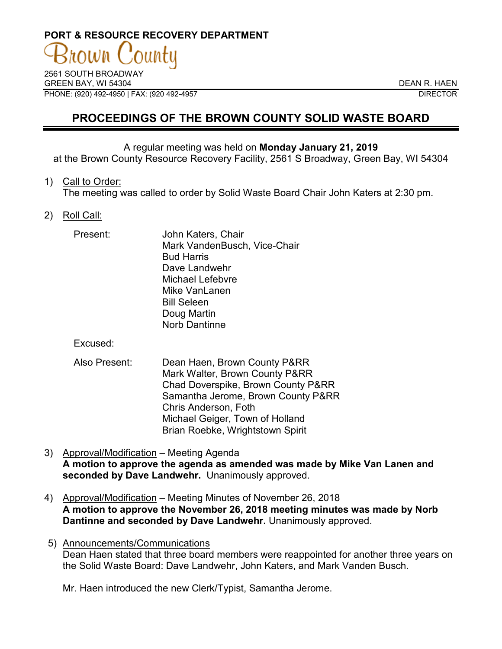# **PORT & RESOURCE RECOVERY DEPARTMENT**

2561 SOUTH BROADWAY GREEN BAY, WI 54304 DEAN R. HAEN PHONE: (920) 492-4950 | FAX: (920 492-4957 DIRECTOR

# **PROCEEDINGS OF THE BROWN COUNTY SOLID WASTE BOARD**

#### A regular meeting was held on **Monday January 21, 2019**

at the Brown County Resource Recovery Facility, 2561 S Broadway, Green Bay, WI 54304

#### 1) Call to Order:

The meeting was called to order by Solid Waste Board Chair John Katers at 2:30 pm.

# 2) Roll Call:

| Present: | John Katers, Chair           |
|----------|------------------------------|
|          | Mark VandenBusch, Vice-Chair |
|          | <b>Bud Harris</b>            |
|          | Dave Landwehr                |
|          | <b>Michael Lefebvre</b>      |
|          | Mike VanLanen                |
|          | <b>Bill Seleen</b>           |
|          | Doug Martin                  |
|          | <b>Norb Dantinne</b>         |

Excused:

- Also Present: Dean Haen, Brown County P&RR Mark Walter, Brown County P&RR Chad Doverspike, Brown County P&RR Samantha Jerome, Brown County P&RR Chris Anderson, Foth Michael Geiger, Town of Holland Brian Roebke, Wrightstown Spirit
- 3) Approval/Modification Meeting Agenda **A motion to approve the agenda as amended was made by Mike Van Lanen and seconded by Dave Landwehr.** Unanimously approved.
- 4) Approval/Modification Meeting Minutes of November 26, 2018 **A motion to approve the November 26, 2018 meeting minutes was made by Norb Dantinne and seconded by Dave Landwehr.** Unanimously approved.
- 5) Announcements/Communications Dean Haen stated that three board members were reappointed for another three years on the Solid Waste Board: Dave Landwehr, John Katers, and Mark Vanden Busch.

Mr. Haen introduced the new Clerk/Typist, Samantha Jerome.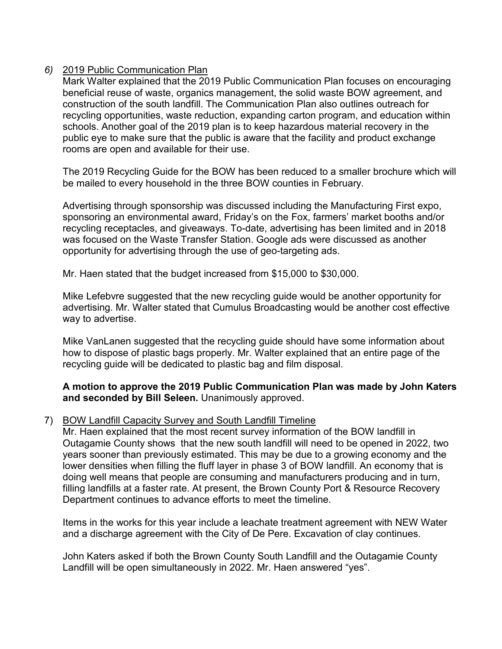# *6)* 2019 Public Communication Plan

Mark Walter explained that the 2019 Public Communication Plan focuses on encouraging beneficial reuse of waste, organics management, the solid waste BOW agreement, and construction of the south landfill. The Communication Plan also outlines outreach for recycling opportunities, waste reduction, expanding carton program, and education within schools. Another goal of the 2019 plan is to keep hazardous material recovery in the public eye to make sure that the public is aware that the facility and product exchange rooms are open and available for their use.

The 2019 Recycling Guide for the BOW has been reduced to a smaller brochure which will be mailed to every household in the three BOW counties in February.

Advertising through sponsorship was discussed including the Manufacturing First expo, sponsoring an environmental award, Friday's on the Fox, farmers' market booths and/or recycling receptacles, and giveaways. To-date, advertising has been limited and in 2018 was focused on the Waste Transfer Station. Google ads were discussed as another opportunity for advertising through the use of geo-targeting ads.

Mr. Haen stated that the budget increased from \$15,000 to \$30,000.

Mike Lefebvre suggested that the new recycling guide would be another opportunity for advertising. Mr. Walter stated that Cumulus Broadcasting would be another cost effective way to advertise.

Mike VanLanen suggested that the recycling guide should have some information about how to dispose of plastic bags properly. Mr. Walter explained that an entire page of the recycling guide will be dedicated to plastic bag and film disposal.

# **A motion to approve the 2019 Public Communication Plan was made by John Katers and seconded by Bill Seleen.** Unanimously approved.

# 7) BOW Landfill Capacity Survey and South Landfill Timeline

Mr. Haen explained that the most recent survey information of the BOW landfill in Outagamie County shows that the new south landfill will need to be opened in 2022, two years sooner than previously estimated. This may be due to a growing economy and the lower densities when filling the fluff layer in phase 3 of BOW landfill. An economy that is doing well means that people are consuming and manufacturers producing and in turn, filling landfills at a faster rate. At present, the Brown County Port & Resource Recovery Department continues to advance efforts to meet the timeline.

Items in the works for this year include a leachate treatment agreement with NEW Water and a discharge agreement with the City of De Pere. Excavation of clay continues.

John Katers asked if both the Brown County South Landfill and the Outagamie County Landfill will be open simultaneously in 2022. Mr. Haen answered "yes".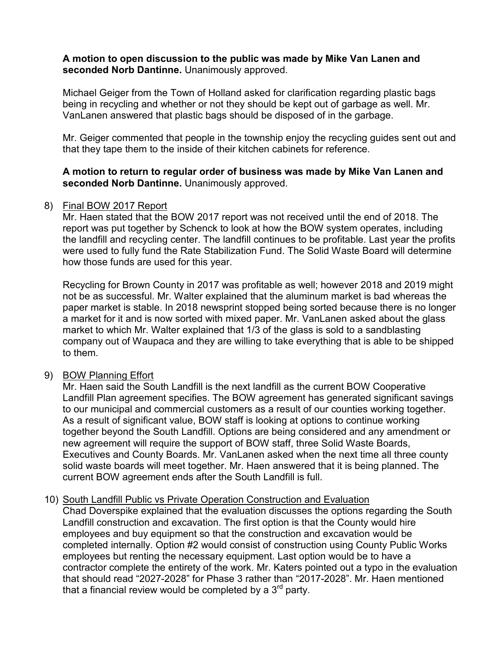# **A motion to open discussion to the public was made by Mike Van Lanen and seconded Norb Dantinne.** Unanimously approved.

Michael Geiger from the Town of Holland asked for clarification regarding plastic bags being in recycling and whether or not they should be kept out of garbage as well. Mr. VanLanen answered that plastic bags should be disposed of in the garbage.

Mr. Geiger commented that people in the township enjoy the recycling guides sent out and that they tape them to the inside of their kitchen cabinets for reference.

# **A motion to return to regular order of business was made by Mike Van Lanen and seconded Norb Dantinne.** Unanimously approved.

# 8) Final BOW 2017 Report

Mr. Haen stated that the BOW 2017 report was not received until the end of 2018. The report was put together by Schenck to look at how the BOW system operates, including the landfill and recycling center. The landfill continues to be profitable. Last year the profits were used to fully fund the Rate Stabilization Fund. The Solid Waste Board will determine how those funds are used for this year.

Recycling for Brown County in 2017 was profitable as well; however 2018 and 2019 might not be as successful. Mr. Walter explained that the aluminum market is bad whereas the paper market is stable. In 2018 newsprint stopped being sorted because there is no longer a market for it and is now sorted with mixed paper. Mr. VanLanen asked about the glass market to which Mr. Walter explained that 1/3 of the glass is sold to a sandblasting company out of Waupaca and they are willing to take everything that is able to be shipped to them.

# 9) BOW Planning Effort

Mr. Haen said the South Landfill is the next landfill as the current BOW Cooperative Landfill Plan agreement specifies. The BOW agreement has generated significant savings to our municipal and commercial customers as a result of our counties working together. As a result of significant value, BOW staff is looking at options to continue working together beyond the South Landfill. Options are being considered and any amendment or new agreement will require the support of BOW staff, three Solid Waste Boards, Executives and County Boards. Mr. VanLanen asked when the next time all three county solid waste boards will meet together. Mr. Haen answered that it is being planned. The current BOW agreement ends after the South Landfill is full.

# 10) South Landfill Public vs Private Operation Construction and Evaluation

Chad Doverspike explained that the evaluation discusses the options regarding the South Landfill construction and excavation. The first option is that the County would hire employees and buy equipment so that the construction and excavation would be completed internally. Option #2 would consist of construction using County Public Works employees but renting the necessary equipment. Last option would be to have a contractor complete the entirety of the work. Mr. Katers pointed out a typo in the evaluation that should read "2027-2028" for Phase 3 rather than "2017-2028". Mr. Haen mentioned that a financial review would be completed by a  $3<sup>rd</sup>$  party.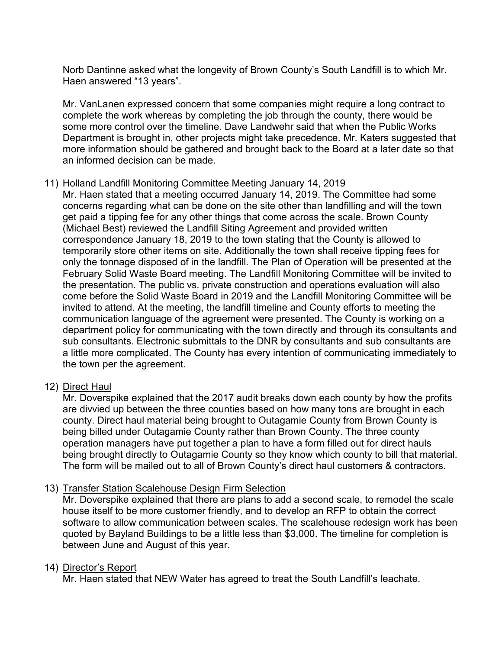Norb Dantinne asked what the longevity of Brown County's South Landfill is to which Mr. Haen answered "13 years".

Mr. VanLanen expressed concern that some companies might require a long contract to complete the work whereas by completing the job through the county, there would be some more control over the timeline. Dave Landwehr said that when the Public Works Department is brought in, other projects might take precedence. Mr. Katers suggested that more information should be gathered and brought back to the Board at a later date so that an informed decision can be made.

# 11) Holland Landfill Monitoring Committee Meeting January 14, 2019

Mr. Haen stated that a meeting occurred January 14, 2019. The Committee had some concerns regarding what can be done on the site other than landfilling and will the town get paid a tipping fee for any other things that come across the scale. Brown County (Michael Best) reviewed the Landfill Siting Agreement and provided written correspondence January 18, 2019 to the town stating that the County is allowed to temporarily store other items on site. Additionally the town shall receive tipping fees for only the tonnage disposed of in the landfill. The Plan of Operation will be presented at the February Solid Waste Board meeting. The Landfill Monitoring Committee will be invited to the presentation. The public vs. private construction and operations evaluation will also come before the Solid Waste Board in 2019 and the Landfill Monitoring Committee will be invited to attend. At the meeting, the landfill timeline and County efforts to meeting the communication language of the agreement were presented. The County is working on a department policy for communicating with the town directly and through its consultants and sub consultants. Electronic submittals to the DNR by consultants and sub consultants are a little more complicated. The County has every intention of communicating immediately to the town per the agreement.

# 12) Direct Haul

Mr. Doverspike explained that the 2017 audit breaks down each county by how the profits are divvied up between the three counties based on how many tons are brought in each county. Direct haul material being brought to Outagamie County from Brown County is being billed under Outagamie County rather than Brown County. The three county operation managers have put together a plan to have a form filled out for direct hauls being brought directly to Outagamie County so they know which county to bill that material. The form will be mailed out to all of Brown County's direct haul customers & contractors.

# 13) Transfer Station Scalehouse Design Firm Selection

Mr. Doverspike explained that there are plans to add a second scale, to remodel the scale house itself to be more customer friendly, and to develop an RFP to obtain the correct software to allow communication between scales. The scalehouse redesign work has been quoted by Bayland Buildings to be a little less than \$3,000. The timeline for completion is between June and August of this year.

# 14) Director's Report

Mr. Haen stated that NEW Water has agreed to treat the South Landfill's leachate.